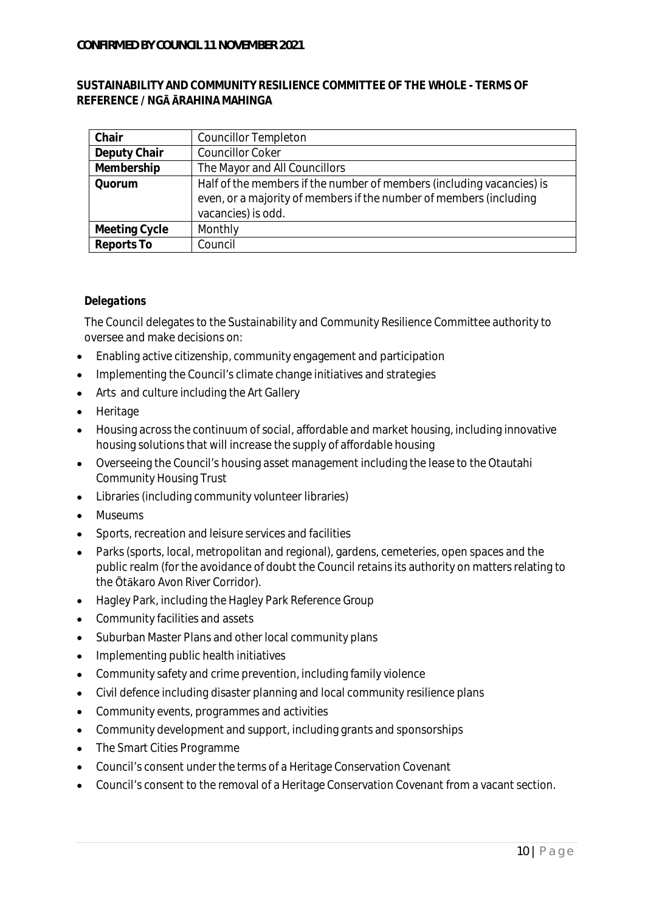### **SUSTAINABILITY AND COMMUNITY RESILIENCE COMMITTEE OF THE WHOLE - TERMS OF REFERENCE / NG RAHINA MAHINGA**

| Chair         | <b>Councillor Templeton</b>                                                                                                                                       |
|---------------|-------------------------------------------------------------------------------------------------------------------------------------------------------------------|
| Deputy Chair  | <b>Councillor Coker</b>                                                                                                                                           |
| Membership    | The Mayor and All Councillors                                                                                                                                     |
| Quorum        | Half of the members if the number of members (including vacancies) is<br>even, or a majority of members if the number of members (including<br>vacancies) is odd. |
| Meeting Cycle | Monthly                                                                                                                                                           |
| Reports To    | Council                                                                                                                                                           |

### *Delegations*

The Council delegates to the Sustainability and Community Resilience Committee authority to oversee and make decisions on:

- Enabling active citizenship, community engagement and participation
- Implementing the Council's climate change initiatives and strategies
- Arts and culture including the Art Gallery
- Heritage
- Housing across the continuum of social, affordable and market housing, including innovative housing solutions that will increase the supply of affordable housing
- Overseeing the Council's housing asset management including the lease to the Otautahi  $\bullet$ Community Housing Trust
- Libraries (including community volunteer libraries)  $\bullet$
- Museums
- Sports, recreation and leisure services and facilities
- Parks (sports, local, metropolitan and regional), gardens, cemeteries, open spaces and the public realm (for the avoidance of doubt the Council retains its authority on matters relating to the Ōtākaro Avon River Corridor).
- Hagley Park, including the Hagley Park Reference Group  $\bullet$
- Community facilities and assets
- Suburban Master Plans and other local community plans  $\bullet$
- Implementing public health initiatives
- Community safety and crime prevention, including family violence  $\bullet$
- Civil defence including disaster planning and local community resilience plans  $\bullet$
- Community events, programmes and activities  $\bullet$
- Community development and support, including grants and sponsorships  $\bullet$
- The Smart Cities Programme  $\bullet$
- Council's consent under the terms of a Heritage Conservation Covenant  $\bullet$
- Council's consent to the removal of a Heritage Conservation Covenant from a vacant section. $\bullet$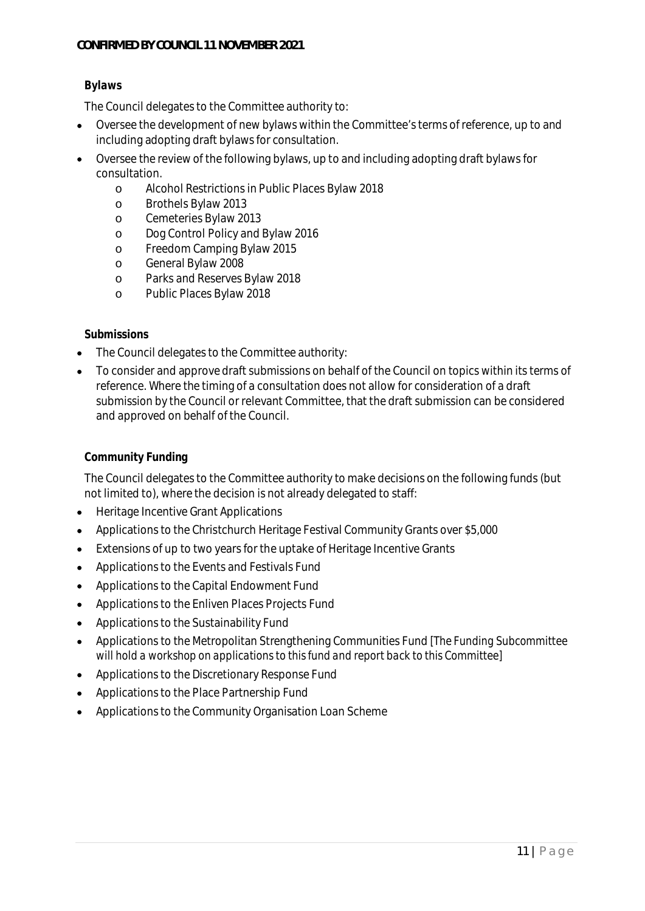# *Bylaws*

The Council delegates to the Committee authority to:

- Oversee the development of new bylaws within the Committee's terms of reference, up to and including adopting draft bylaws for consultation.
- Oversee the review of the following bylaws, up to and including adopting draft bylaws for consultation.
	- o Alcohol Restrictions in Public Places Bylaw 2018
	- o Brothels Bylaw 2013
	- o Cemeteries Bylaw 2013
	- o Dog Control Policy and Bylaw 2016
	- o Freedom Camping Bylaw 2015
	- o General Bylaw 2008
	- o Parks and Reserves Bylaw 2018
	- o Public Places Bylaw 2018

#### *Submissions*

- The Council delegates to the Committee authority:
- To consider and approve draft submissions on behalf of the Council on topics within its terms of reference. Where the timing of a consultation does not allow for consideration of a draft submission by the Council or relevant Committee, that the draft submission can be considered and approved on behalf of the Council.

## *Community Funding*

The Council delegates to the Committee authority to make decisions on the following funds (but not limited to), where the decision is not already delegated to staff:

- Heritage Incentive Grant Applications  $\ddot{\phantom{a}}$
- Applications to the Christchurch Heritage Festival Community Grants over \$5,000  $\bullet$
- Extensions of up to two years for the uptake of Heritage Incentive Grants
- Applications to the Events and Festivals Fund  $\bullet$
- Applications to the Capital Endowment Fund  $\bullet$
- Applications to the Enliven Places Projects Fund  $\bullet$
- Applications to the Sustainability Fund  $\bullet$
- Applications to the Metropolitan Strengthening Communities Fund *[The Funding Subcommittee*  $\bullet$ *will hold a workshop on applications to this fund and report back to this Committee]*
- Applications to the Discretionary Response Fund  $\bullet$
- Applications to the Place Partnership Fund
- Applications to the Community Organisation Loan Scheme $\bullet$